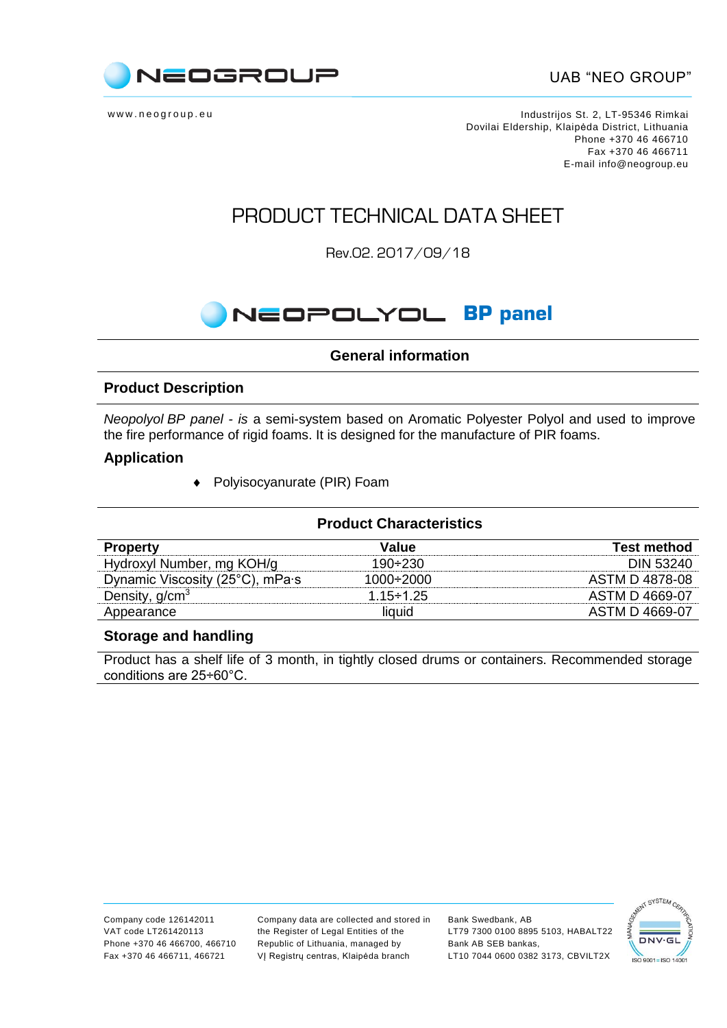

www.neogroup.eu https://www.neogroup.eu Dovilai Eldership, Klaipėda District, Lithuania Phone +370 46 466710 Fax +370 46 466711 E-mail [info@neogroup.eu](mailto:info@neogroup.eu)

### PRODUCT TECHNICAL DATA SHEET

Rev.02. 2017/09/18

# **NEOPOLYOL BP panel**

### **General information**

#### **Product Description**

*Neopolyol BP panel - is* a semi-system based on Aromatic Polyester Polyol and used to improve the fire performance of rigid foams. It is designed for the manufacture of PIR foams.

#### **Application**

Polyisocyanurate (PIR) Foam

| <b>Product Characteristics</b>  |                  |                    |  |
|---------------------------------|------------------|--------------------|--|
| <b>Property</b>                 | Value            | <b>Test method</b> |  |
| Hydroxyl Number, mg KOH/g       | $190 + 230$      | <b>DIN 53240</b>   |  |
| Dynamic Viscosity (25°C), mPa·s | 1000÷2000        | ASTM D 4878-08     |  |
| Density, $g/cm3$                | $1.15 \div 1.25$ | ASTM D 4669-07     |  |
| Appearance                      | liquid           | ASTM D 4669-07     |  |

#### **Storage and handling**

Product has a shelf life of 3 month, in tightly closed drums or containers. Recommended storage conditions are 25÷60°C.

Company data are collected and stored in the Register of Legal Entities of the Republic of Lithuania, managed by VĮ Registrų centras, Klaipėda branch

Bank Swedbank, AB LT79 7300 0100 8895 5103, HABALT22 Bank AB SEB bankas, LT10 7044 0600 0382 3173, CBVILT2X